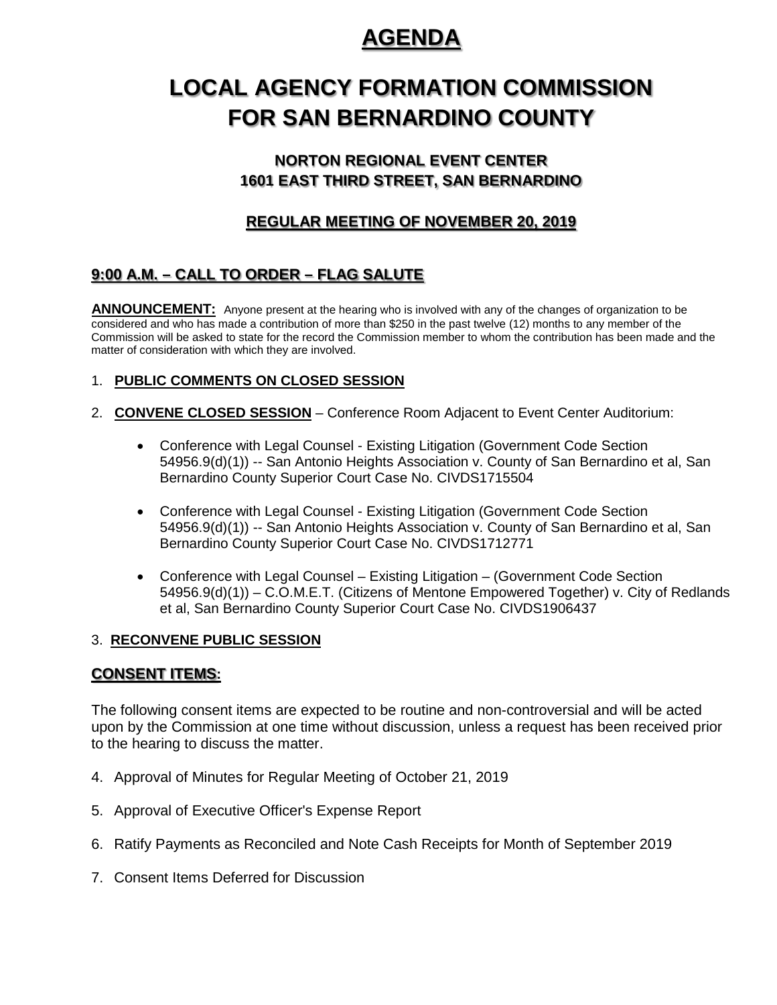# **AGENDA**

# **LOCAL AGENCY FORMATION COMMISSION FOR SAN BERNARDINO COUNTY**

## **NORTON REGIONAL EVENT CENTER 1601 EAST THIRD STREET, SAN BERNARDINO**

## **REGULAR MEETING OF NOVEMBER 20, 2019**

# **9:00 A.M. – CALL TO ORDER – FLAG SALUTE**

**ANNOUNCEMENT:** Anyone present at the hearing who is involved with any of the changes of organization to be considered and who has made a contribution of more than \$250 in the past twelve (12) months to any member of the Commission will be asked to state for the record the Commission member to whom the contribution has been made and the matter of consideration with which they are involved.

### 1. **PUBLIC COMMENTS ON CLOSED SESSION**

- 2. **CONVENE CLOSED SESSION** Conference Room Adjacent to Event Center Auditorium:
	- Conference with Legal Counsel Existing Litigation (Government Code Section 54956.9(d)(1)) -- San Antonio Heights Association v. County of San Bernardino et al, San Bernardino County Superior Court Case No. CIVDS1715504
	- Conference with Legal Counsel Existing Litigation (Government Code Section 54956.9(d)(1)) -- San Antonio Heights Association v. County of San Bernardino et al, San Bernardino County Superior Court Case No. CIVDS1712771
	- Conference with Legal Counsel Existing Litigation (Government Code Section 54956.9(d)(1)) – C.O.M.E.T. (Citizens of Mentone Empowered Together) v. City of Redlands et al, San Bernardino County Superior Court Case No. CIVDS1906437

### 3. **RECONVENE PUBLIC SESSION**

### **CONSENT ITEMS:**

The following consent items are expected to be routine and non-controversial and will be acted upon by the Commission at one time without discussion, unless a request has been received prior to the hearing to discuss the matter.

- 4. Approval of Minutes for Regular Meeting of October 21, 2019
- 5. Approval of Executive Officer's Expense Report
- 6. Ratify Payments as Reconciled and Note Cash Receipts for Month of September 2019
- 7. Consent Items Deferred for Discussion